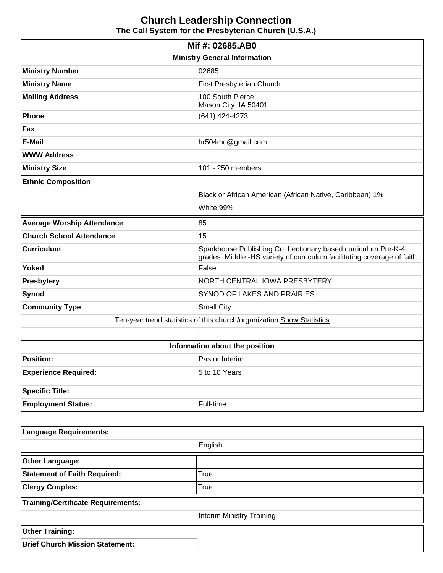# **Church Leadership Connection The Call System for the Presbyterian Church (U.S.A.)**

| Mif #: 02685.AB0                                                      |                                                                                                                                           |  |  |  |
|-----------------------------------------------------------------------|-------------------------------------------------------------------------------------------------------------------------------------------|--|--|--|
| <b>Ministry General Information</b>                                   |                                                                                                                                           |  |  |  |
| <b>Ministry Number</b>                                                | 02685                                                                                                                                     |  |  |  |
| <b>Ministry Name</b>                                                  | First Presbyterian Church                                                                                                                 |  |  |  |
| <b>Mailing Address</b>                                                | 100 South Pierce<br>Mason City, IA 50401                                                                                                  |  |  |  |
| <b>Phone</b>                                                          | (641) 424-4273                                                                                                                            |  |  |  |
| Fax                                                                   |                                                                                                                                           |  |  |  |
| E-Mail                                                                | hr504mc@gmail.com                                                                                                                         |  |  |  |
| <b>WWW Address</b>                                                    |                                                                                                                                           |  |  |  |
| <b>Ministry Size</b>                                                  | 101 - 250 members                                                                                                                         |  |  |  |
| <b>Ethnic Composition</b>                                             |                                                                                                                                           |  |  |  |
|                                                                       | Black or African American (African Native, Caribbean) 1%                                                                                  |  |  |  |
|                                                                       | White 99%                                                                                                                                 |  |  |  |
| <b>Average Worship Attendance</b>                                     | 85                                                                                                                                        |  |  |  |
| <b>Church School Attendance</b>                                       | 15                                                                                                                                        |  |  |  |
| <b>Curriculum</b>                                                     | Sparkhouse Publishing Co. Lectionary based curriculum Pre-K-4<br>grades. Middle -HS variety of curriculum facilitating coverage of faith. |  |  |  |
| Yoked                                                                 | False                                                                                                                                     |  |  |  |
| <b>Presbytery</b>                                                     | NORTH CENTRAL IOWA PRESBYTERY                                                                                                             |  |  |  |
| Synod                                                                 | SYNOD OF LAKES AND PRAIRIES                                                                                                               |  |  |  |
| <b>Community Type</b>                                                 | <b>Small City</b>                                                                                                                         |  |  |  |
| Ten-year trend statistics of this church/organization Show Statistics |                                                                                                                                           |  |  |  |
|                                                                       |                                                                                                                                           |  |  |  |
| Information about the position                                        |                                                                                                                                           |  |  |  |
| <b>Position:</b>                                                      | Pastor Interim                                                                                                                            |  |  |  |
| <b>Experience Required:</b>                                           | 5 to 10 Years                                                                                                                             |  |  |  |
| <b>Specific Title:</b>                                                |                                                                                                                                           |  |  |  |
| <b>Employment Status:</b>                                             | Full-time                                                                                                                                 |  |  |  |

| <b>Language Requirements:</b>             |                                  |  |
|-------------------------------------------|----------------------------------|--|
|                                           | English                          |  |
| <b>Other Language:</b>                    |                                  |  |
| <b>Statement of Faith Required:</b>       | True                             |  |
| <b>Clergy Couples:</b>                    | True                             |  |
| <b>Training/Certificate Requirements:</b> |                                  |  |
|                                           | <b>Interim Ministry Training</b> |  |
| <b>Other Training:</b>                    |                                  |  |
| <b>Brief Church Mission Statement:</b>    |                                  |  |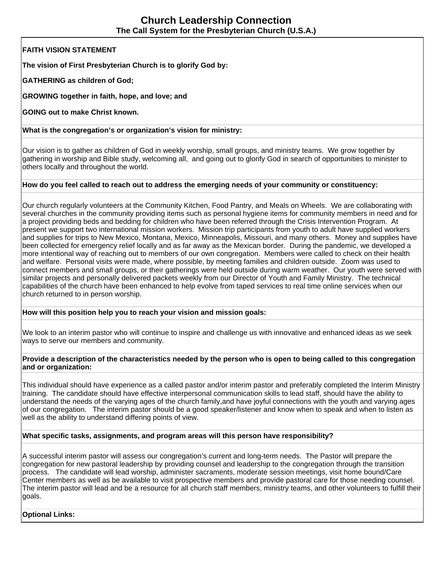# **Church Leadership Connection The Call System for the Presbyterian Church (U.S.A.)**

**FAITH VISION STATEMENT**

**The vision of First Presbyterian Church is to glorify God by:**

**GATHERING as children of God;**

**GROWING together in faith, hope, and love; and**

**GOING out to make Christ known.** 

**What is the congregation's or organization's vision for ministry:** 

Our vision is to gather as children of God in weekly worship, small groups, and ministry teams. We grow together by gathering in worship and Bible study, welcoming all, and going out to glorify God in search of opportunities to minister to others locally and throughout the world.

#### **How do you feel called to reach out to address the emerging needs of your community or constituency:**

Our church regularly volunteers at the Community Kitchen, Food Pantry, and Meals on Wheels. We are collaborating with several churches in the community providing items such as personal hygiene items for community members in need and for a project providing beds and bedding for children who have been referred through the Crisis Intervention Program. At present we support two international mission workers. Mission trip participants from youth to adult have supplied workers and supplies for trips to New Mexico, Montana, Mexico, Minneapolis, Missouri, and many others. Money and supplies have been collected for emergency relief locally and as far away as the Mexican border. During the pandemic, we developed a more intentional way of reaching out to members of our own congregation. Members were called to check on their health and welfare. Personal visits were made, where possible, by meeting families and children outside. Zoom was used to connect members and small groups, or their gatherings were held outside during warm weather. Our youth were served with similar projects and personally delivered packets weekly from our Director of Youth and Family Ministry. The technical capabilities of the church have been enhanced to help evolve from taped services to real time online services when our church returned to in person worship.

#### **How will this position help you to reach your vision and mission goals:**

We look to an interim pastor who will continue to inspire and challenge us with innovative and enhanced ideas as we seek ways to serve our members and community.

#### **Provide a description of the characteristics needed by the person who is open to being called to this congregation and or organization:**

This individual should have experience as a called pastor and/or interim pastor and preferably completed the Interim Ministry training. The candidate should have effective interpersonal communication skills to lead staff, should have the ability to understand the needs of the varying ages of the church family,and have joyful connections with the youth and varying ages of our congregation. The interim pastor should be a good speaker/listener and know when to speak and when to listen as well as the ability to understand differing points of view.

#### **What specific tasks, assignments, and program areas will this person have responsibility?**

A successful interim pastor will assess our congregation's current and long-term needs. The Pastor will prepare the congregation for new pastoral leadership by providing counsel and leadership to the congregation through the transition process. The candidate will lead worship, administer sacraments, moderate session meetings, visit home bound/Care Center members as well as be available to visit prospective members and provide pastoral care for those needing counsel. The interim pastor will lead and be a resource for all church staff members, ministry teams, and other volunteers to fulfill their goals.

**Optional Links:**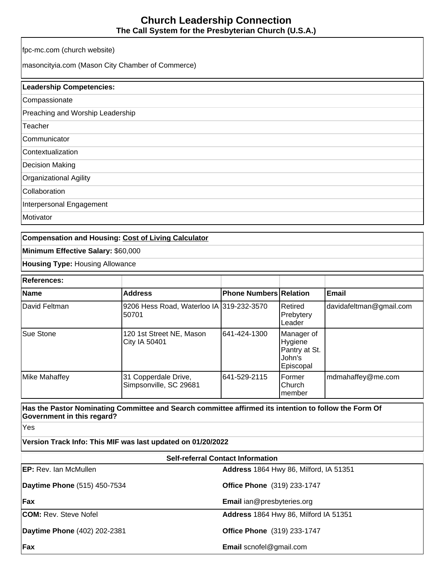# **Church Leadership Connection The Call System for the Presbyterian Church (U.S.A.)**

fpc-mc.com (church website) masoncityia.com (Mason City Chamber of Commerce) **Leadership Competencies: Compassionate** Preaching and Worship Leadership **Teacher Communicator Contextualization** Decision Making Organizational Agility Collaboration Interpersonal Engagement **Motivator** 

### **Compensation and Housing: [Cost of Living Calculator](http://www.bankrate.com/brm/movecalc.asp)**

**Minimum Effective Salary:** \$60,000

**Housing Type:** Housing Allowance

| <b>References:</b> |                                                    |                               |                                                               |                         |
|--------------------|----------------------------------------------------|-------------------------------|---------------------------------------------------------------|-------------------------|
| Name               | <b>Address</b>                                     | <b>Phone Numbers Relation</b> |                                                               | Email                   |
| David Feltman      | 9206 Hess Road, Waterloo IA 319-232-3570<br>150701 |                               | Retired<br>Prebytery<br>Leader                                | davidafeltman@gmail.com |
| <b>Sue Stone</b>   | 120 1st Street NE, Mason<br><b>City IA 50401</b>   | 1641-424-1300                 | Manager of<br>Hygiene<br>Pantry at St.<br>John's<br>Episcopal |                         |
| Mike Mahaffey      | 31 Copperdale Drive,<br>Simpsonville, SC 29681     | 1641-529-2115                 | Former<br>Church<br>Imember                                   | mdmahaffey@me.com       |

**Has the Pastor Nominating Committee and Search committee affirmed its intention to follow the Form Of Government in this regard?**

Yes

**Version Track Info: This MIF was last updated on 01/20/2022**

| <b>Self-referral Contact Information</b> |                                        |  |  |
|------------------------------------------|----------------------------------------|--|--|
| <b>EP:</b> Rev. Ian McMullen             | Address 1864 Hwy 86, Milford, IA 51351 |  |  |
| Daytime Phone (515) 450-7534             | <b>Office Phone</b> (319) 233-1747     |  |  |
| Fix                                      | Email ian@presbyteries.org             |  |  |
| <b>COM: Rev. Steve Nofel</b>             | Address 1864 Hwy 86, Milford IA 51351  |  |  |
| Daytime Phone (402) 202-2381             | <b>Office Phone</b> (319) 233-1747     |  |  |
| Fix                                      | <b>Email</b> scnofel@gmail.com         |  |  |